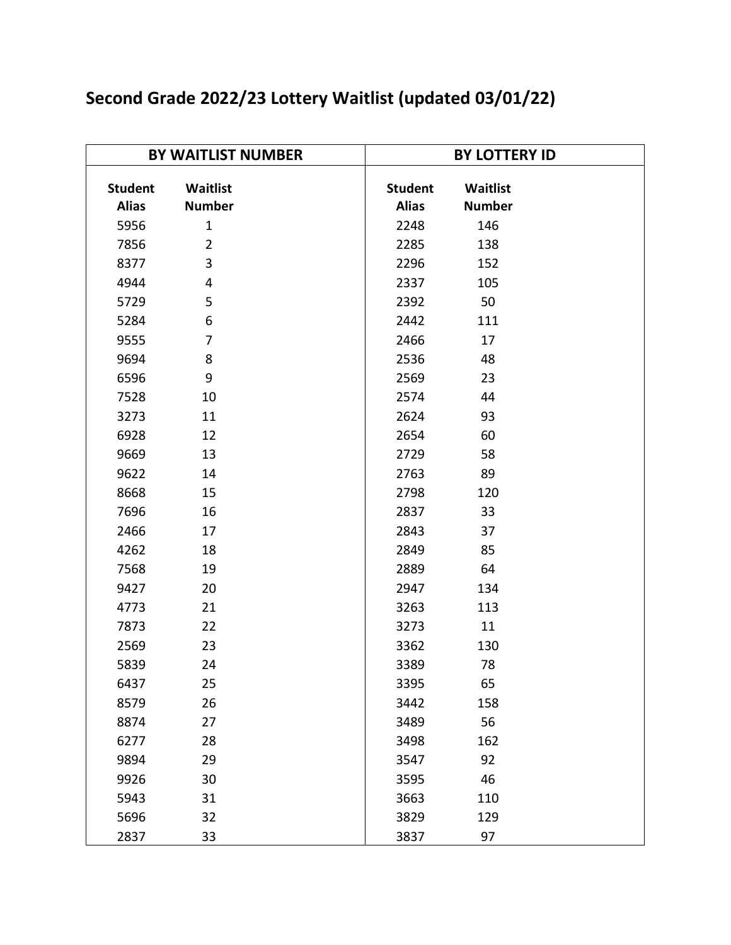| Second Grade 2022/23 Lottery Waitlist (updated 03/01/22) |  |
|----------------------------------------------------------|--|
|----------------------------------------------------------|--|

| <b>BY WAITLIST NUMBER</b> |                | <b>BY LOTTERY ID</b> |               |
|---------------------------|----------------|----------------------|---------------|
|                           |                |                      |               |
| <b>Student</b>            | Waitlist       | <b>Student</b>       | Waitlist      |
| <b>Alias</b>              | <b>Number</b>  | <b>Alias</b>         | <b>Number</b> |
| 5956                      | $\mathbf{1}$   | 2248                 | 146           |
| 7856                      | $\overline{2}$ | 2285                 | 138           |
| 8377                      | 3              | 2296                 | 152           |
| 4944                      | 4              | 2337                 | 105           |
| 5729                      | 5              | 2392                 | 50            |
| 5284                      | 6              | 2442                 | 111           |
| 9555                      | $\overline{7}$ | 2466                 | 17            |
| 9694                      | 8              | 2536                 | 48            |
| 6596                      | 9              | 2569                 | 23            |
| 7528                      | 10             | 2574                 | 44            |
| 3273                      | 11             | 2624                 | 93            |
| 6928                      | 12             | 2654                 | 60            |
| 9669                      | 13             | 2729                 | 58            |
| 9622                      | 14             | 2763                 | 89            |
| 8668                      | 15             | 2798                 | 120           |
| 7696                      | 16             | 2837                 | 33            |
| 2466                      | 17             | 2843                 | 37            |
| 4262                      | 18             | 2849                 | 85            |
| 7568                      | 19             | 2889                 | 64            |
| 9427                      | 20             | 2947                 | 134           |
| 4773                      | 21             | 3263                 | 113           |
| 7873                      | 22             | 3273                 | 11            |
| 2569                      | 23             | 3362                 | 130           |
| 5839                      | 24             | 3389                 | 78            |
| 6437                      | 25             | 3395                 | 65            |
| 8579                      | 26             | 3442                 | 158           |
| 8874                      | 27             | 3489                 | 56            |
| 6277                      | 28             | 3498                 | 162           |
| 9894                      | 29             | 3547                 | 92            |
| 9926                      | 30             | 3595                 | 46            |
| 5943                      | 31             | 3663                 | 110           |
| 5696                      | 32             | 3829                 | 129           |
| 2837                      | 33             | 3837                 | 97            |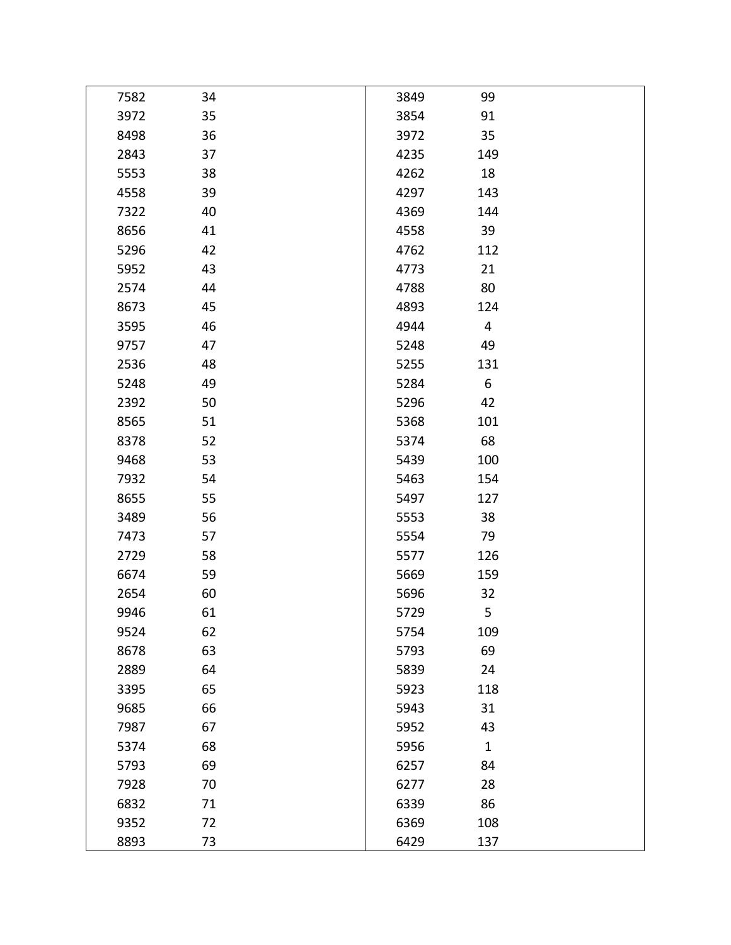| 7582 | 34 | 3849 | 99             |  |
|------|----|------|----------------|--|
| 3972 | 35 | 3854 | 91             |  |
| 8498 | 36 | 3972 | 35             |  |
| 2843 | 37 | 4235 | 149            |  |
| 5553 | 38 | 4262 | 18             |  |
| 4558 | 39 | 4297 | 143            |  |
| 7322 | 40 | 4369 | 144            |  |
| 8656 | 41 | 4558 | 39             |  |
| 5296 | 42 | 4762 | 112            |  |
| 5952 | 43 | 4773 | 21             |  |
| 2574 | 44 | 4788 | 80             |  |
| 8673 | 45 | 4893 | 124            |  |
| 3595 | 46 | 4944 | $\overline{4}$ |  |
| 9757 | 47 | 5248 | 49             |  |
| 2536 | 48 | 5255 | 131            |  |
| 5248 | 49 | 5284 | 6              |  |
| 2392 | 50 | 5296 | 42             |  |
| 8565 | 51 | 5368 | 101            |  |
| 8378 | 52 | 5374 | 68             |  |
| 9468 | 53 | 5439 | 100            |  |
| 7932 | 54 | 5463 | 154            |  |
| 8655 | 55 | 5497 | 127            |  |
| 3489 | 56 | 5553 | 38             |  |
| 7473 | 57 | 5554 | 79             |  |
| 2729 | 58 | 5577 | 126            |  |
| 6674 | 59 | 5669 | 159            |  |
| 2654 | 60 | 5696 | 32             |  |
| 9946 | 61 | 5729 | 5              |  |
| 9524 | 62 | 5754 | 109            |  |
| 8678 | 63 | 5793 | 69             |  |
| 2889 | 64 | 5839 | 24             |  |
| 3395 | 65 | 5923 | 118            |  |
| 9685 | 66 | 5943 | 31             |  |
| 7987 | 67 | 5952 | 43             |  |
| 5374 | 68 | 5956 | $\mathbf{1}$   |  |
| 5793 | 69 | 6257 | 84             |  |
| 7928 | 70 | 6277 | 28             |  |
| 6832 | 71 | 6339 | 86             |  |
| 9352 | 72 | 6369 | 108            |  |
| 8893 | 73 | 6429 | 137            |  |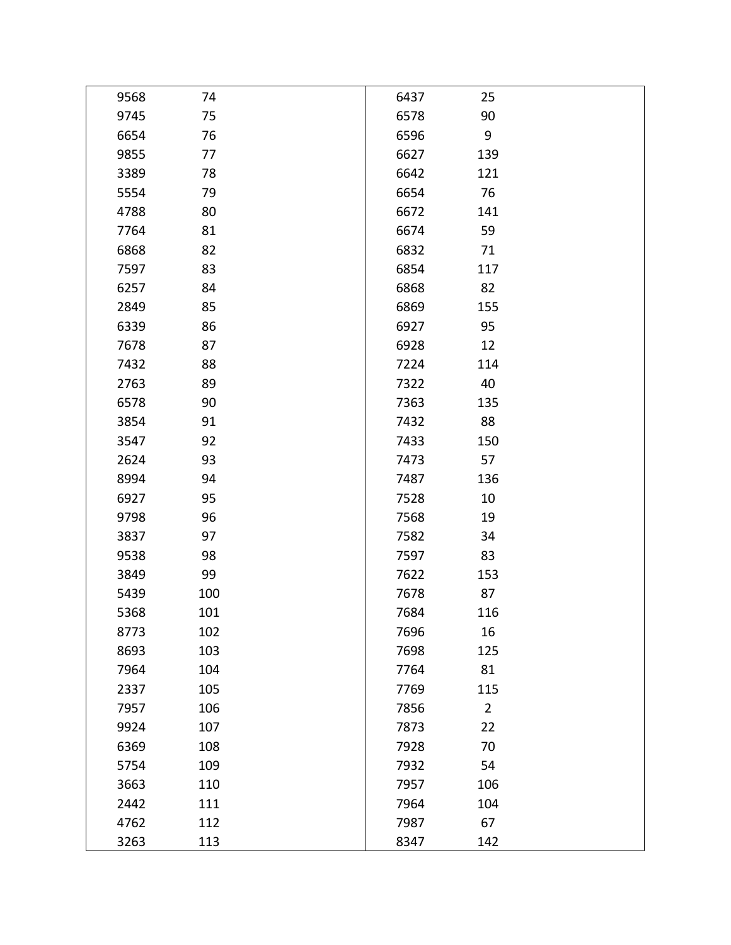| 9568 | 74  | 6437 | 25             |  |
|------|-----|------|----------------|--|
| 9745 | 75  | 6578 | 90             |  |
| 6654 | 76  | 6596 | 9              |  |
| 9855 | 77  | 6627 | 139            |  |
| 3389 | 78  | 6642 | 121            |  |
| 5554 | 79  | 6654 | 76             |  |
| 4788 | 80  | 6672 | 141            |  |
| 7764 | 81  | 6674 | 59             |  |
| 6868 | 82  | 6832 | 71             |  |
| 7597 | 83  | 6854 | 117            |  |
| 6257 | 84  | 6868 | 82             |  |
| 2849 | 85  | 6869 | 155            |  |
| 6339 | 86  | 6927 | 95             |  |
| 7678 | 87  | 6928 | 12             |  |
| 7432 | 88  | 7224 | 114            |  |
| 2763 | 89  | 7322 | 40             |  |
| 6578 | 90  | 7363 | 135            |  |
| 3854 | 91  | 7432 | 88             |  |
| 3547 | 92  | 7433 | 150            |  |
| 2624 | 93  | 7473 | 57             |  |
| 8994 | 94  | 7487 | 136            |  |
| 6927 | 95  | 7528 | 10             |  |
| 9798 | 96  | 7568 | 19             |  |
| 3837 | 97  | 7582 | 34             |  |
| 9538 | 98  | 7597 | 83             |  |
| 3849 | 99  | 7622 | 153            |  |
| 5439 | 100 | 7678 | 87             |  |
| 5368 | 101 | 7684 | 116            |  |
| 8773 | 102 | 7696 | 16             |  |
| 8693 | 103 | 7698 | 125            |  |
| 7964 | 104 | 7764 | 81             |  |
| 2337 | 105 | 7769 | 115            |  |
| 7957 | 106 | 7856 | $\overline{2}$ |  |
| 9924 | 107 | 7873 | 22             |  |
| 6369 | 108 | 7928 | 70             |  |
| 5754 | 109 | 7932 | 54             |  |
| 3663 | 110 | 7957 | 106            |  |
| 2442 | 111 | 7964 | 104            |  |
| 4762 | 112 | 7987 | 67             |  |
| 3263 | 113 | 8347 | 142            |  |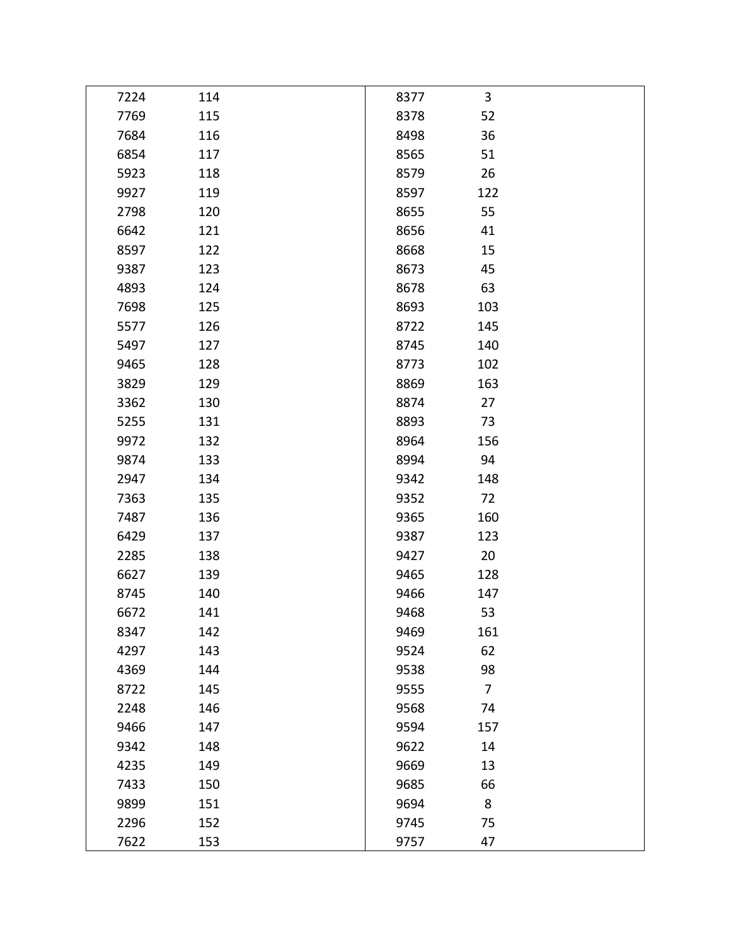| 7224 | 114 | 8377 | 3              |  |
|------|-----|------|----------------|--|
| 7769 | 115 | 8378 | 52             |  |
| 7684 | 116 | 8498 | 36             |  |
| 6854 | 117 | 8565 | 51             |  |
| 5923 | 118 | 8579 | 26             |  |
| 9927 | 119 | 8597 | 122            |  |
| 2798 | 120 | 8655 | 55             |  |
| 6642 | 121 | 8656 | 41             |  |
| 8597 | 122 | 8668 | 15             |  |
| 9387 | 123 | 8673 | 45             |  |
| 4893 | 124 | 8678 | 63             |  |
| 7698 | 125 | 8693 | 103            |  |
| 5577 | 126 | 8722 | 145            |  |
| 5497 | 127 | 8745 | 140            |  |
| 9465 | 128 | 8773 | 102            |  |
| 3829 | 129 | 8869 | 163            |  |
| 3362 | 130 | 8874 | 27             |  |
| 5255 | 131 | 8893 | 73             |  |
| 9972 | 132 | 8964 | 156            |  |
| 9874 | 133 | 8994 | 94             |  |
| 2947 | 134 | 9342 | 148            |  |
| 7363 | 135 | 9352 | 72             |  |
| 7487 | 136 | 9365 | 160            |  |
| 6429 | 137 | 9387 | 123            |  |
| 2285 | 138 | 9427 | 20             |  |
| 6627 | 139 | 9465 | 128            |  |
| 8745 | 140 | 9466 | 147            |  |
| 6672 | 141 | 9468 | 53             |  |
| 8347 | 142 | 9469 | 161            |  |
| 4297 | 143 | 9524 | 62             |  |
| 4369 | 144 | 9538 | 98             |  |
| 8722 | 145 | 9555 | $\overline{7}$ |  |
| 2248 | 146 | 9568 | 74             |  |
| 9466 | 147 | 9594 | 157            |  |
| 9342 | 148 | 9622 | 14             |  |
| 4235 | 149 | 9669 | 13             |  |
| 7433 | 150 | 9685 | 66             |  |
| 9899 | 151 | 9694 | 8              |  |
| 2296 | 152 | 9745 | 75             |  |
| 7622 | 153 | 9757 | 47             |  |